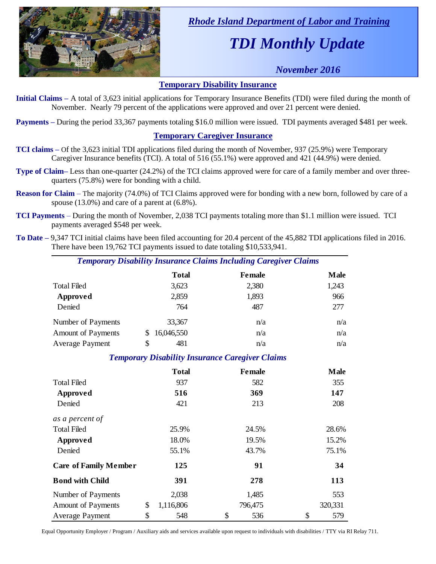

 *Rhode Island Department of Labor and Training*

# *TDI Monthly Update*

# *November 2016*

#### **Temporary Disability Insurance**

**Initial Claims –** A total of 3,623 initial applications for Temporary Insurance Benefits (TDI) were filed during the month of November. Nearly 79 percent of the applications were approved and over 21 percent were denied.

**Payments –** During the period 33,367 payments totaling \$16.0 million were issued. TDI payments averaged \$481 per week.

### **Temporary Caregiver Insurance**

- **TCI claims –** Of the 3,623 initial TDI applications filed during the month of November, 937 (25.9%) were Temporary Caregiver Insurance benefits (TCI). A total of 516 (55.1%) were approved and 421 (44.9%) were denied.
- **Type of Claim–** Less than one-quarter (24.2%) of the TCI claims approved were for care of a family member and over threequarters (75.8%) were for bonding with a child.
- **Reason for Claim** The majority (74.0%) of TCI Claims approved were for bonding with a new born, followed by care of a spouse (13.0%) and care of a parent at (6.8%).
- **TCI Payments** During the month of November, 2,038 TCI payments totaling more than \$1.1 million were issued. TCI payments averaged \$548 per week.
- **To Date –** 9,347 TCI initial claims have been filed accounting for 20.4 percent of the 45,882 TDI applications filed in 2016. There have been 19,762 TCI payments issued to date totaling \$10,533,941.

| <b>Temporary Disability Insurance Claims Including Caregiver Claims</b> |              |               |             |  |  |  |
|-------------------------------------------------------------------------|--------------|---------------|-------------|--|--|--|
|                                                                         | <b>Total</b> | <b>Female</b> | <b>Male</b> |  |  |  |
| Total Filed                                                             | 3,623        | 2,380         | 1,243       |  |  |  |
| Approved                                                                | 2,859        | 1,893         | 966         |  |  |  |
| Denied                                                                  | 764          | 487           | 277         |  |  |  |
| Number of Payments                                                      | 33,367       | n/a           | n/a         |  |  |  |

## *Temporary Disability Insurance Caregiver Claims*

Amount of Payments  $\frac{16,046,550}{9}$  n/a n/a Average Payment  $\qquad \qquad \$$  481  $\qquad \qquad n/a$   $\qquad \qquad n/a$ 

|                              | <b>Total</b>    | <b>Female</b> | <b>Male</b> |
|------------------------------|-----------------|---------------|-------------|
| <b>Total Filed</b>           | 937             | 582           | 355         |
| Approved                     | 516             | 369           | 147         |
| Denied                       | 421             | 213           | 208         |
| as a percent of              |                 |               |             |
| <b>Total Filed</b>           | 25.9%           | 24.5%         | 28.6%       |
| Approved                     | 18.0%           | 19.5%         | 15.2%       |
| Denied                       | 55.1%           | 43.7%         | 75.1%       |
| <b>Care of Family Member</b> | 125             | 91            | 34          |
| <b>Bond with Child</b>       | 391             | 278           | 113         |
| Number of Payments           | 2,038           | 1,485         | 553         |
| <b>Amount of Payments</b>    | \$<br>1,116,806 | 796,475       | 320,331     |
| Average Payment              | \$<br>548       | \$<br>536     | \$<br>579   |

Equal Opportunity Employer / Program / Auxiliary aids and services available upon request to individuals with disabilities / TTY via RI Relay 711.